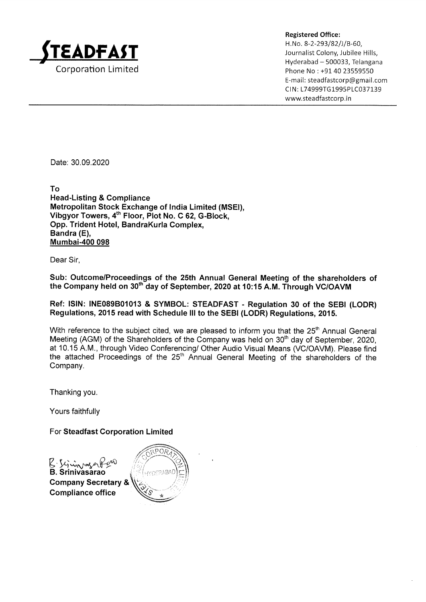

Registered Office: Journalist Colony, Jubilee Hills, Hyderabad — 500033, Telangana E-mail: steadfastcorp@gmail.com CIN: L74999TG1995PLC037139 www.steadfastcorp.in

Date: 30.09.2020

To Head-Listing & Compliance Metropolitan Stock Exchange of India Limited (MSEI), Vibgyor Towers, 4<sup>th</sup> Floor, Plot No. C 62, G-Block, Opp.Trident Hotel, BandraKurla Complex, Bandra (E), Mumbai-400 098

Dear Sir,

Sub: Outcome/Proceedings of the 25th Annual General Meeting of the shareholders of the Company held on 30<sup>th</sup> day of September, 2020 at 10:15 A.M. Through VC/OAVM

Ref: ISIN: INEQ89B01013 & SYMBOL: STEADFAST- Regulation 30 of the SEBI (LODR) Regulations, 2015 read with Schedule III to the SEBI (LODR) Regulations, 2015.

With reference to the subject cited, we are pleased to inform you that the 25<sup>th</sup> Annual General Meeting (AGM) of the Shareholders of the Company was held on 30<sup>th</sup> day of September, 2020, at 10.15 A.M., through Video Conferencing/ Other Audio Visual Means (VC/OAVM). Pleasefind the attached Proceedings of the 25" Annual General Meeting of the shareholders of the Company.

Thanking you.

Yours faithfully

For Steadfast Corporation Limited

B Simografia<br>B. Srinivasarao Company Secretary & .  $\mathcal{N}$  **Compliance office**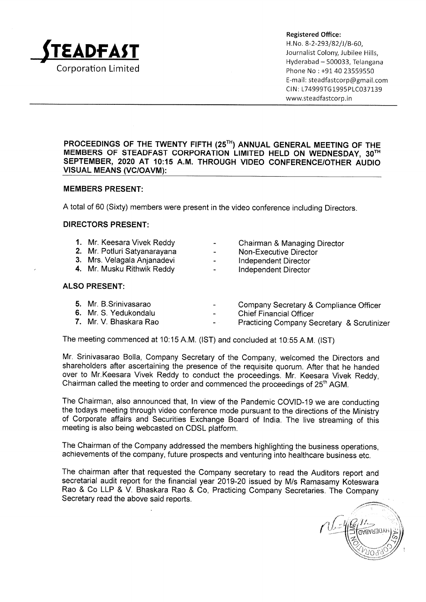

Registered Office:  $\Delta$ DFAST  $\mathbf{H}$ , No. 8-2-293/82/J/B-60, Journalist Colony, Jubilee Hills, Hyderabad ~ 500033, Telangana E-mail: steadfastcorp@gmail.com CIN: L74999TG1995PLC037139 www.steadfastcorp.in

# PROCEEDINGS OF THE TWENTY FIFTH (25<sup>TH</sup>) ANNUAL GENERAL MEETING OF THE MEMBERS OF STEADFAST CORPORATION LIMITED HELD ON WEDNESDAY,  $30^{\mathrm{TH}}$ SEPTEMBER, 2020 AT 10:15 A.M. THROUGH VIDEO CONFERENCE/OTHER AUDIO VISUAL MEANS (VC/OAVM):

 $\mathcal{L}(\mathcal{L}(\mathcal{L}(\mathcal{L}(\mathcal{L}(\mathcal{L}(\mathcal{L}(\mathcal{L}(\mathcal{L}(\mathcal{L}(\mathcal{L}(\mathcal{L}(\mathcal{L}(\mathcal{L}(\mathcal{L}(\mathcal{L}(\mathcal{L}(\mathcal{L}(\mathcal{L}(\mathcal{L}(\mathcal{L}(\mathcal{L}(\mathcal{L}(\mathcal{L}(\mathcal{L}(\mathcal{L}(\mathcal{L}(\mathcal{L}(\mathcal{L}(\mathcal{L}(\mathcal{L}(\mathcal{L}(\mathcal{L}(\mathcal{L}(\mathcal{L}(\mathcal{L}(\mathcal{$ 

## **MEMBERS PRESENT:**

A total of 60 (Sixty) members were present in the video conference including Directors.

## DIRECTORS PRESENT:

| 1. Mr. Keesara Vivek Reddy   | $\sim$ | Chairman & Managing Director |
|------------------------------|--------|------------------------------|
| 2. Mr. Potluri Satyanarayana | $\sim$ | Non-Executive Director       |
| 3. Mrs. Velagala Anjanadevi  | $\sim$ | Independent Director         |
| 4. Mr. Musku Rithwik Reddy   | $\sim$ | Independent Director         |

## ALSO PRESENT:

| 5. Mr. B.Srinivasarao  | Company Secretary & Compliance Officer                |  |  |
|------------------------|-------------------------------------------------------|--|--|
| 6. Mr. S. Yedukondalu  | <b>Chief Financial Officer</b>                        |  |  |
| 7. Mr. V. Bhaskara Rao | <b>Practicing Company Secretary &amp; Scrutinizer</b> |  |  |

The meeting commenced at 10:15 A.M. (IST) and concluded at 10:55 A.M. (IST)

Mr. Srinivasarao Bolla, Company Secretary of the Company, welcomed the Directors and shareholders after ascertaining the presence of the requisite quorum. After that he handed over to Mr.Keesara Vivek Reddy to conduct the proceedings. Mr. Keesara Vivek Reddy, Chairman called the meeting to order and commenced the proceedings of  $25<sup>th</sup> AGM$ .

The Chairman, also announced that, In view of the Pandemic COVID-19 we are conducting the todays meeting through video conference mode pursuant to the directions of the Ministry of Corporate affairs and Securities Exchange Board of India. The live streaming of this meeting is also being webcasted on CDSL platform.

The Chairman of the Company addressed the members highlighting the business operations, achievements of the company, future prospects and venturing into healthcare business etc.

The chairman after that requested the Company secretary to read the Auditors report and secretarial audit report for the financial year 2019-20 issued by M/s Ramasamy Koteswara Rao & Co LLP & V. Bhaskara Rao & Co, Practicing Company Secretaries. The Company Secretary read the above said reports.

Ble **LIABABAD**  $\otimes$  いーい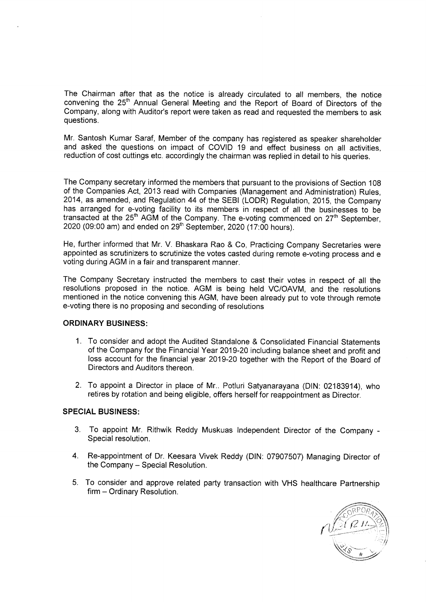The Chairman after that as the notice is already circulated to all members, the notice convening the 25" Annual General Meeting and the Report of Board of Directors of the Company, along with Auditor's report were taken as read and requested the members to ask questions.

Mr. Santosh Kumar Saraf, Member of the company has registered as speaker shareholder and asked the questions on impact of COVID 19 and effect business on all activities, reduction of cost cuttings etc. accordingly the chairman was replied in detail to his queries.

The Company secretary informed the members that pursuant to the provisions of Section 108 of the Companies Act, 2013 read with Companies (Management and Administration) Rules, 2014, as amended, and Regulation 44 of the SEBI (LODR) Regulation, 2015, the Company has arranged for e-voting facility to its members in respect of all the businesses to be transacted at the  $25<sup>th</sup>$  AGM of the Company. The e-voting commenced on  $27<sup>th</sup>$  September, 2020 (09:00 am) and ended on 29" September, 2020 (17:00 hours).

He, further informed that Mr. V. Bhaskara Rao & Co, Practicing Company Secretaries were appointed as scrutinizers to scrutinize the votes casted during remote e-voting process and e voting during AGM in a fair and transparent manner.

The Company Secretary instructed the members to cast their votes in respect of all the resolutions proposed in the notice. AGM is being held VC/OAVM, and the resolutions mentioned in the notice convening this AGM, have been already put to vote through remote e-voting there is no proposing and seconding of resolutions

# ORDINARY BUSINESS:

- 1. To consider and adopt the Audited Standalone & Consolidated Financial Statements of the Company for the Financial Year 2019-20 including balance sheet and profit and loss account for the financial year 2019-20 together with the Report of the Board of Directors and Auditors thereon.
- 2. To appoint a Director in place of Mr.. Potluri Satyanarayana (DIN: 02183914), who retires by rotation and being eligible, offers herself for reappointment as Director.

## SPECIAL BUSINESS:

- 3. To appoint Mr. Rithwik Reddy Muskuas Independent Director of the Company-Special resolution.
- 4. Re-appointment of Dr. Keesara Vivek Reddy (DIN: 07907507) Managing Director of the Company — Special Resolution.
- 5. To consider and approve related party transaction with VHS healthcare Partnership firm — Ordinary Resolution.